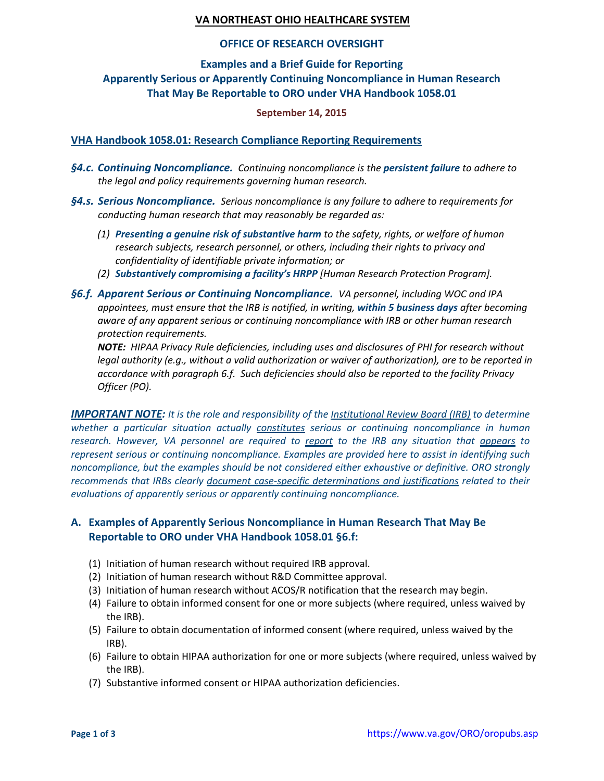### **VA NORTHEAST OHIO HEALTHCARE SYSTEM**

#### **OFFICE OF RESEARCH OVERSIGHT**

#### **Examples and a Brief Guide for Reporting**

## **Apparently Serious or Apparently Continuing Noncompliance in Human Research That May Be Reportable to ORO under VHA Handbook 1058.01**

#### **September 14, 2015**

#### **VHA Handbook 1058.01: Research Compliance Reporting Requirements**

- *§4.c. Continuing Noncompliance. Continuing noncompliance is the persistent failure to adhere to the legal and policy requirements governing human research.*
- *§4.s. Serious Noncompliance. Serious noncompliance is any failure to adhere to requirements for conducting human research that may reasonably be regarded as:*
	- *(1) Presenting a genuine risk of substantive harm to the safety, rights, or welfare of human research subjects, research personnel, or others, including their rights to privacy and confidentiality of identifiable private information; or*
	- *(2) Substantively compromising a facility's HRPP [Human Research Protection Program].*
- *§6.f. Apparent Serious or Continuing Noncompliance. VA personnel, including WOC and IPA appointees, must ensure that the IRB is notified, in writing, within 5 business days after becoming aware of any apparent serious or continuing noncompliance with IRB or other human research protection requirements.*

*NOTE: HIPAA Privacy Rule deficiencies, including uses and disclosures of PHI for research without legal authority (e.g., without a valid authorization or waiver of authorization), are to be reported in accordance with paragraph 6.f. Such deficiencies should also be reported to the facility Privacy Officer (PO).*

*IMPORTANT NOTE: It is the role and responsibility of the Institutional Review Board (IRB) to determine whether a particular situation actually constitutes serious or continuing noncompliance in human research. However, VA personnel are required to report to the IRB any situation that appears to represent serious or continuing noncompliance. Examples are provided here to assist in identifying such noncompliance, but the examples should be not considered either exhaustive or definitive. ORO strongly recommends that IRBs clearly document case-specific determinations and justifications related to their evaluations of apparently serious or apparently continuing noncompliance.*

### **A. Examples of Apparently Serious Noncompliance in Human Research That May Be Reportable to ORO under VHA Handbook 1058.01 §6.f:**

- (1) Initiation of human research without required IRB approval.
- (2) Initiation of human research without R&D Committee approval.
- (3) Initiation of human research without ACOS/R notification that the research may begin.
- (4) Failure to obtain informed consent for one or more subjects (where required, unless waived by the IRB).
- (5) Failure to obtain documentation of informed consent (where required, unless waived by the IRB).
- (6) Failure to obtain HIPAA authorization for one or more subjects (where required, unless waived by the IRB).
- (7) Substantive informed consent or HIPAA authorization deficiencies.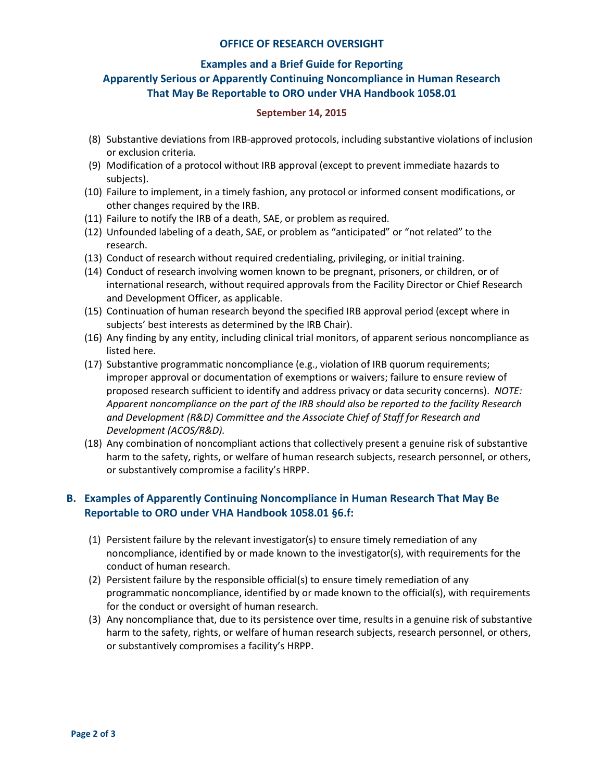#### **OFFICE OF RESEARCH OVERSIGHT**

#### **Examples and a Brief Guide for Reporting**

# **Apparently Serious or Apparently Continuing Noncompliance in Human Research That May Be Reportable to ORO under VHA Handbook 1058.01**

#### **September 14, 2015**

- (8) Substantive deviations from IRB-approved protocols, including substantive violations of inclusion or exclusion criteria.
- (9) Modification of a protocol without IRB approval (except to prevent immediate hazards to subjects).
- (10) Failure to implement, in a timely fashion, any protocol or informed consent modifications, or other changes required by the IRB.
- (11) Failure to notify the IRB of a death, SAE, or problem as required.
- (12) Unfounded labeling of a death, SAE, or problem as "anticipated" or "not related" to the research.
- (13) Conduct of research without required credentialing, privileging, or initial training.
- (14) Conduct of research involving women known to be pregnant, prisoners, or children, or of international research, without required approvals from the Facility Director or Chief Research and Development Officer, as applicable.
- (15) Continuation of human research beyond the specified IRB approval period (except where in subjects' best interests as determined by the IRB Chair).
- (16) Any finding by any entity, including clinical trial monitors, of apparent serious noncompliance as listed here.
- (17) Substantive programmatic noncompliance (e.g., violation of IRB quorum requirements; improper approval or documentation of exemptions or waivers; failure to ensure review of proposed research sufficient to identify and address privacy or data security concerns). *NOTE: Apparent noncompliance on the part of the IRB should also be reported to the facility Research and Development (R&D) Committee and the Associate Chief of Staff for Research and Development (ACOS/R&D).*
- (18) Any combination of noncompliant actions that collectively present a genuine risk of substantive harm to the safety, rights, or welfare of human research subjects, research personnel, or others, or substantively compromise a facility's HRPP.

## **B. Examples of Apparently Continuing Noncompliance in Human Research That May Be Reportable to ORO under VHA Handbook 1058.01 §6.f:**

- (1) Persistent failure by the relevant investigator(s) to ensure timely remediation of any noncompliance, identified by or made known to the investigator(s), with requirements for the conduct of human research.
- (2) Persistent failure by the responsible official(s) to ensure timely remediation of any programmatic noncompliance, identified by or made known to the official(s), with requirements for the conduct or oversight of human research.
- (3) Any noncompliance that, due to its persistence over time, results in a genuine risk of substantive harm to the safety, rights, or welfare of human research subjects, research personnel, or others, or substantively compromises a facility's HRPP.